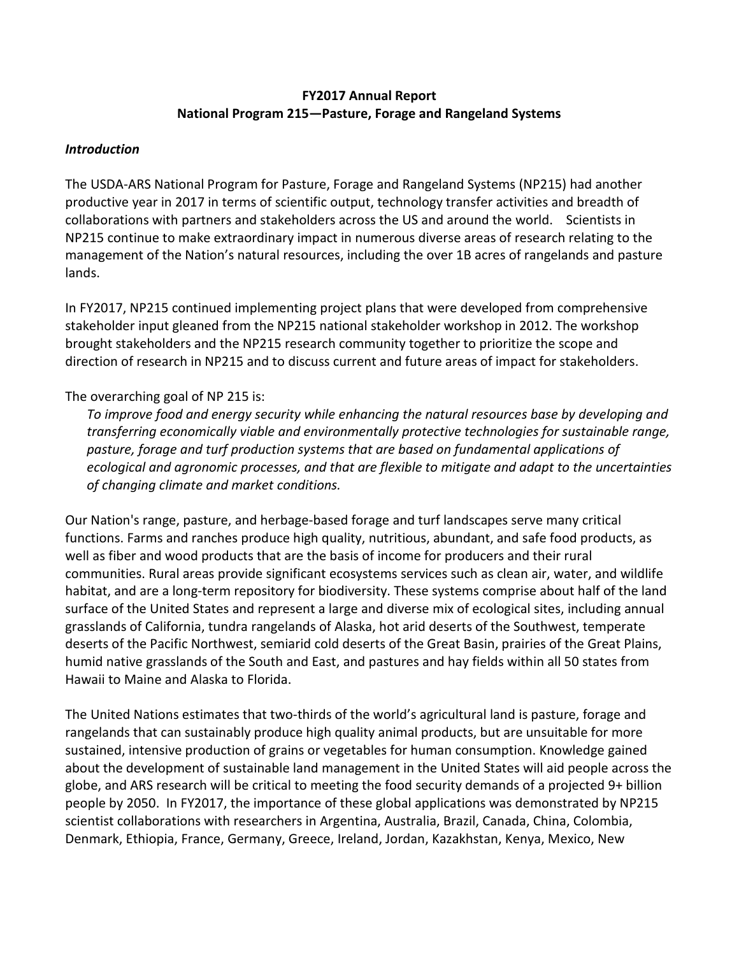# **FY2017 Annual Report National Program 215—Pasture, Forage and Rangeland Systems**

#### *Introduction*

The USDA-ARS National Program for Pasture, Forage and Rangeland Systems (NP215) had another productive year in 2017 in terms of scientific output, technology transfer activities and breadth of collaborations with partners and stakeholders across the US and around the world. Scientists in NP215 continue to make extraordinary impact in numerous diverse areas of research relating to the management of the Nation's natural resources, including the over 1B acres of rangelands and pasture lands.

In FY2017, NP215 continued implementing project plans that were developed from comprehensive stakeholder input gleaned from the NP215 national stakeholder workshop in 2012. The workshop brought stakeholders and the NP215 research community together to prioritize the scope and direction of research in NP215 and to discuss current and future areas of impact for stakeholders.

## The overarching goal of NP 215 is:

*To improve food and energy security while enhancing the natural resources base by developing and transferring economically viable and environmentally protective technologies for sustainable range, pasture, forage and turf production systems that are based on fundamental applications of ecological and agronomic processes, and that are flexible to mitigate and adapt to the uncertainties of changing climate and market conditions.* 

Our Nation's range, pasture, and herbage-based forage and turf landscapes serve many critical functions. Farms and ranches produce high quality, nutritious, abundant, and safe food products, as well as fiber and wood products that are the basis of income for producers and their rural communities. Rural areas provide significant ecosystems services such as clean air, water, and wildlife habitat, and are a long-term repository for biodiversity. These systems comprise about half of the land surface of the United States and represent a large and diverse mix of ecological sites, including annual grasslands of California, tundra rangelands of Alaska, hot arid deserts of the Southwest, temperate deserts of the Pacific Northwest, semiarid cold deserts of the Great Basin, prairies of the Great Plains, humid native grasslands of the South and East, and pastures and hay fields within all 50 states from Hawaii to Maine and Alaska to Florida.

The United Nations estimates that two-thirds of the world's agricultural land is pasture, forage and rangelands that can sustainably produce high quality animal products, but are unsuitable for more sustained, intensive production of grains or vegetables for human consumption. Knowledge gained about the development of sustainable land management in the United States will aid people across the globe, and ARS research will be critical to meeting the food security demands of a projected 9+ billion people by 2050. In FY2017, the importance of these global applications was demonstrated by NP215 scientist collaborations with researchers in Argentina, Australia, Brazil, Canada, China, Colombia, Denmark, Ethiopia, France, Germany, Greece, Ireland, Jordan, Kazakhstan, Kenya, Mexico, New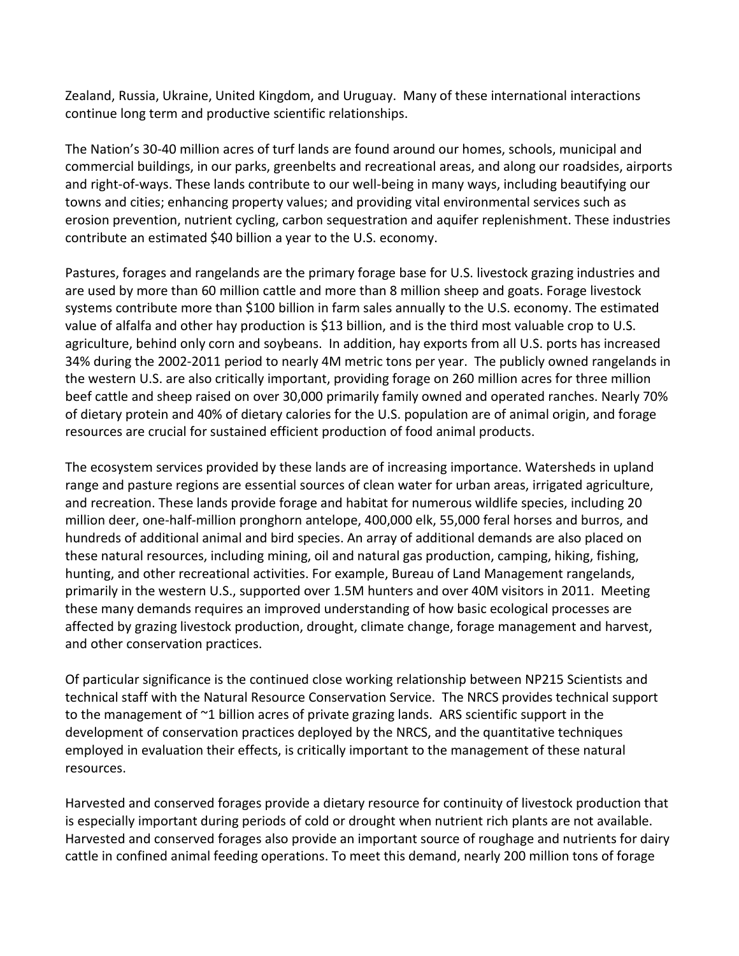Zealand, Russia, Ukraine, United Kingdom, and Uruguay. Many of these international interactions continue long term and productive scientific relationships.

The Nation's 30-40 million acres of turf lands are found around our homes, schools, municipal and commercial buildings, in our parks, greenbelts and recreational areas, and along our roadsides, airports and right-of-ways. These lands contribute to our well-being in many ways, including beautifying our towns and cities; enhancing property values; and providing vital environmental services such as erosion prevention, nutrient cycling, carbon sequestration and aquifer replenishment. These industries contribute an estimated \$40 billion a year to the U.S. economy.

Pastures, forages and rangelands are the primary forage base for U.S. livestock grazing industries and are used by more than 60 million cattle and more than 8 million sheep and goats. Forage livestock systems contribute more than \$100 billion in farm sales annually to the U.S. economy. The estimated value of alfalfa and other hay production is \$13 billion, and is the third most valuable crop to U.S. agriculture, behind only corn and soybeans. In addition, hay exports from all U.S. ports has increased 34% during the 2002-2011 period to nearly 4M metric tons per year. The publicly owned rangelands in the western U.S. are also critically important, providing forage on 260 million acres for three million beef cattle and sheep raised on over 30,000 primarily family owned and operated ranches. Nearly 70% of dietary protein and 40% of dietary calories for the U.S. population are of animal origin, and forage resources are crucial for sustained efficient production of food animal products.

The ecosystem services provided by these lands are of increasing importance. Watersheds in upland range and pasture regions are essential sources of clean water for urban areas, irrigated agriculture, and recreation. These lands provide forage and habitat for numerous wildlife species, including 20 million deer, one-half-million pronghorn antelope, 400,000 elk, 55,000 feral horses and burros, and hundreds of additional animal and bird species. An array of additional demands are also placed on these natural resources, including mining, oil and natural gas production, camping, hiking, fishing, hunting, and other recreational activities. For example, Bureau of Land Management rangelands, primarily in the western U.S., supported over 1.5M hunters and over 40M visitors in 2011. Meeting these many demands requires an improved understanding of how basic ecological processes are affected by grazing livestock production, drought, climate change, forage management and harvest, and other conservation practices.

Of particular significance is the continued close working relationship between NP215 Scientists and technical staff with the Natural Resource Conservation Service. The NRCS provides technical support to the management of ~1 billion acres of private grazing lands. ARS scientific support in the development of conservation practices deployed by the NRCS, and the quantitative techniques employed in evaluation their effects, is critically important to the management of these natural resources.

Harvested and conserved forages provide a dietary resource for continuity of livestock production that is especially important during periods of cold or drought when nutrient rich plants are not available. Harvested and conserved forages also provide an important source of roughage and nutrients for dairy cattle in confined animal feeding operations. To meet this demand, nearly 200 million tons of forage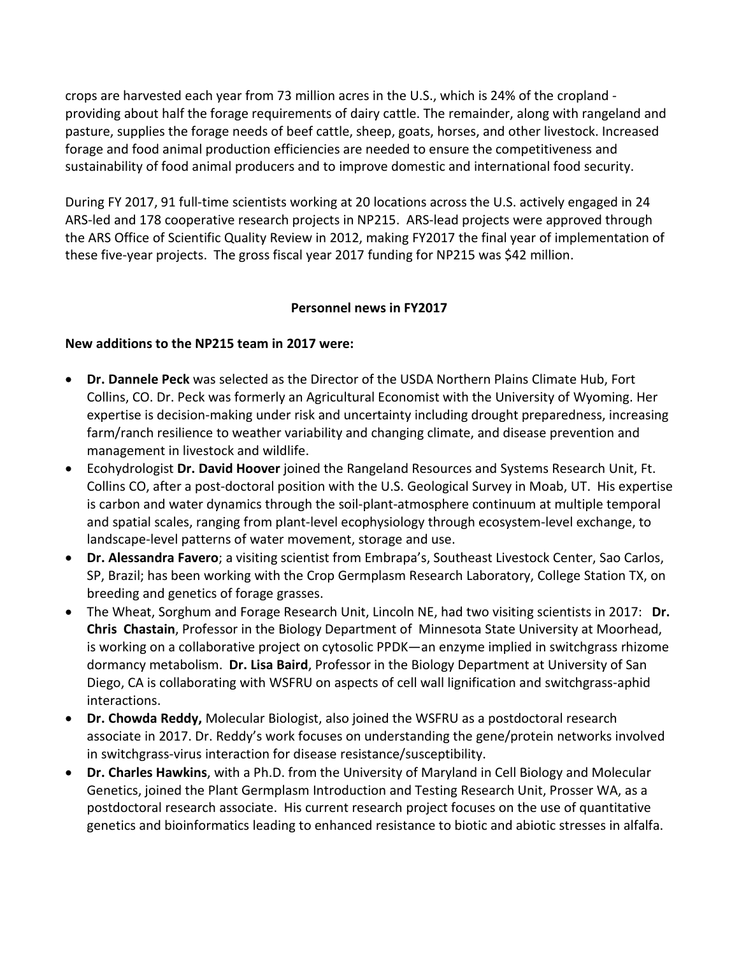crops are harvested each year from 73 million acres in the U.S., which is 24% of the cropland providing about half the forage requirements of dairy cattle. The remainder, along with rangeland and pasture, supplies the forage needs of beef cattle, sheep, goats, horses, and other livestock. Increased forage and food animal production efficiencies are needed to ensure the competitiveness and sustainability of food animal producers and to improve domestic and international food security.

During FY 2017, 91 full-time scientists working at 20 locations across the U.S. actively engaged in 24 ARS-led and 178 cooperative research projects in NP215. ARS-lead projects were approved through the ARS Office of Scientific Quality Review in 2012, making FY2017 the final year of implementation of these five-year projects. The gross fiscal year 2017 funding for NP215 was \$42 million.

## **Personnel news in FY2017**

#### **New additions to the NP215 team in 2017 were:**

- **Dr. Dannele Peck** was selected as the Director of the USDA Northern Plains Climate Hub, Fort Collins, CO. Dr. Peck was formerly an Agricultural Economist with the University of Wyoming. Her expertise is decision-making under risk and uncertainty including drought preparedness, increasing farm/ranch resilience to weather variability and changing climate, and disease prevention and management in livestock and wildlife.
- Ecohydrologist **Dr. David Hoover** joined the Rangeland Resources and Systems Research Unit, Ft. Collins CO, after a post-doctoral position with the U.S. Geological Survey in Moab, UT. His expertise is carbon and water dynamics through the soil-plant-atmosphere continuum at multiple temporal and spatial scales, ranging from plant-level ecophysiology through ecosystem-level exchange, to landscape-level patterns of water movement, storage and use.
- **Dr. Alessandra Favero**; a visiting scientist from Embrapa's, Southeast Livestock Center, Sao Carlos, SP, Brazil; has been working with the Crop Germplasm Research Laboratory, College Station TX, on breeding and genetics of forage grasses.
- The Wheat, Sorghum and Forage Research Unit, Lincoln NE, had two visiting scientists in 2017: **Dr. Chris Chastain**, Professor in the Biology Department of Minnesota State University at Moorhead, is working on a collaborative project on cytosolic PPDK—an enzyme implied in switchgrass rhizome dormancy metabolism. **Dr. Lisa Baird**, Professor in the Biology Department at University of San Diego, CA is collaborating with WSFRU on aspects of cell wall lignification and switchgrass-aphid interactions.
- **Dr. Chowda Reddy,** Molecular Biologist, also joined the WSFRU as a postdoctoral research associate in 2017. Dr. Reddy's work focuses on understanding the gene/protein networks involved in switchgrass-virus interaction for disease resistance/susceptibility.
- **Dr. Charles Hawkins**, with a Ph.D. from the University of Maryland in Cell Biology and Molecular Genetics, joined the Plant Germplasm Introduction and Testing Research Unit, Prosser WA, as a postdoctoral research associate. His current research project focuses on the use of quantitative genetics and bioinformatics leading to enhanced resistance to biotic and abiotic stresses in alfalfa.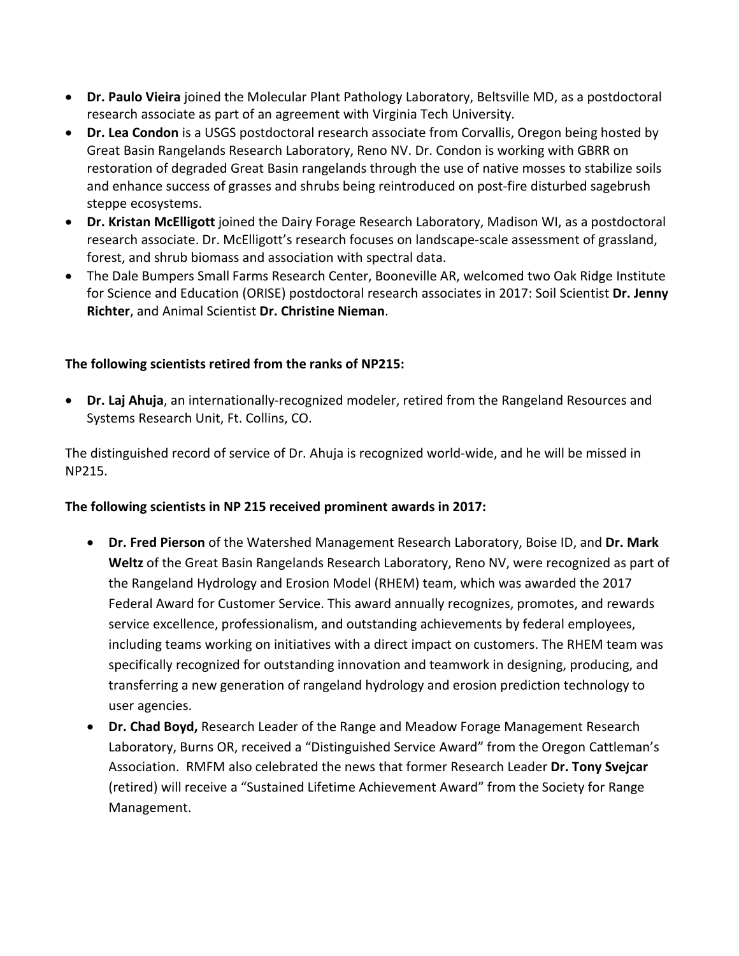- **Dr. Paulo Vieira** joined the Molecular Plant Pathology Laboratory, Beltsville MD, as a postdoctoral research associate as part of an agreement with Virginia Tech University.
- **Dr. Lea Condon** is a USGS postdoctoral research associate from Corvallis, Oregon being hosted by Great Basin Rangelands Research Laboratory, Reno NV. Dr. Condon is working with GBRR on restoration of degraded Great Basin rangelands through the use of native mosses to stabilize soils and enhance success of grasses and shrubs being reintroduced on post-fire disturbed sagebrush steppe ecosystems.
- **Dr. Kristan McElligott** joined the Dairy Forage Research Laboratory, Madison WI, as a postdoctoral research associate. Dr. McElligott's research focuses on landscape-scale assessment of grassland, forest, and shrub biomass and association with spectral data.
- The Dale Bumpers Small Farms Research Center, Booneville AR, welcomed two Oak Ridge Institute for Science and Education (ORISE) postdoctoral research associates in 2017: Soil Scientist **Dr. Jenny Richter**, and Animal Scientist **Dr. Christine Nieman**.

# **The following scientists retired from the ranks of NP215:**

• **Dr. Laj Ahuja**, an internationally-recognized modeler, retired from the Rangeland Resources and Systems Research Unit, Ft. Collins, CO.

The distinguished record of service of Dr. Ahuja is recognized world-wide, and he will be missed in NP215.

## **The following scientists in NP 215 received prominent awards in 2017:**

- **Dr. Fred Pierson** of the Watershed Management Research Laboratory, Boise ID, and **Dr. Mark Weltz** of the Great Basin Rangelands Research Laboratory, Reno NV, were recognized as part of the Rangeland Hydrology and Erosion Model (RHEM) team, which was awarded the 2017 Federal Award for Customer Service. This award annually recognizes, promotes, and rewards service excellence, professionalism, and outstanding achievements by federal employees, including teams working on initiatives with a direct impact on customers. The RHEM team was specifically recognized for outstanding innovation and teamwork in designing, producing, and transferring a new generation of rangeland hydrology and erosion prediction technology to user agencies.
- **Dr. Chad Boyd,** Research Leader of the Range and Meadow Forage Management Research Laboratory, Burns OR, received a "Distinguished Service Award" from the Oregon Cattleman's Association. RMFM also celebrated the news that former Research Leader **Dr. Tony Svejcar**  (retired) will receive a "Sustained Lifetime Achievement Award" from the Society for Range Management.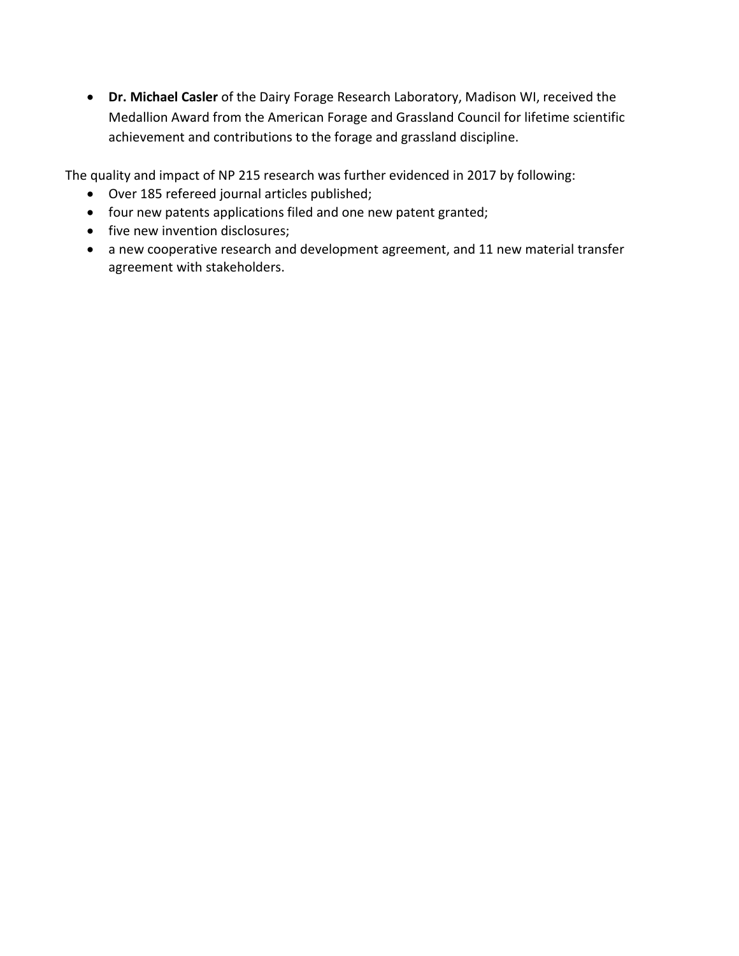• **Dr. Michael Casler** of the Dairy Forage Research Laboratory, Madison WI, received the Medallion Award from the American Forage and Grassland Council for lifetime scientific achievement and contributions to the forage and grassland discipline.

The quality and impact of NP 215 research was further evidenced in 2017 by following:

- Over 185 refereed journal articles published;
- four new patents applications filed and one new patent granted;
- five new invention disclosures;
- a new cooperative research and development agreement, and 11 new material transfer agreement with stakeholders.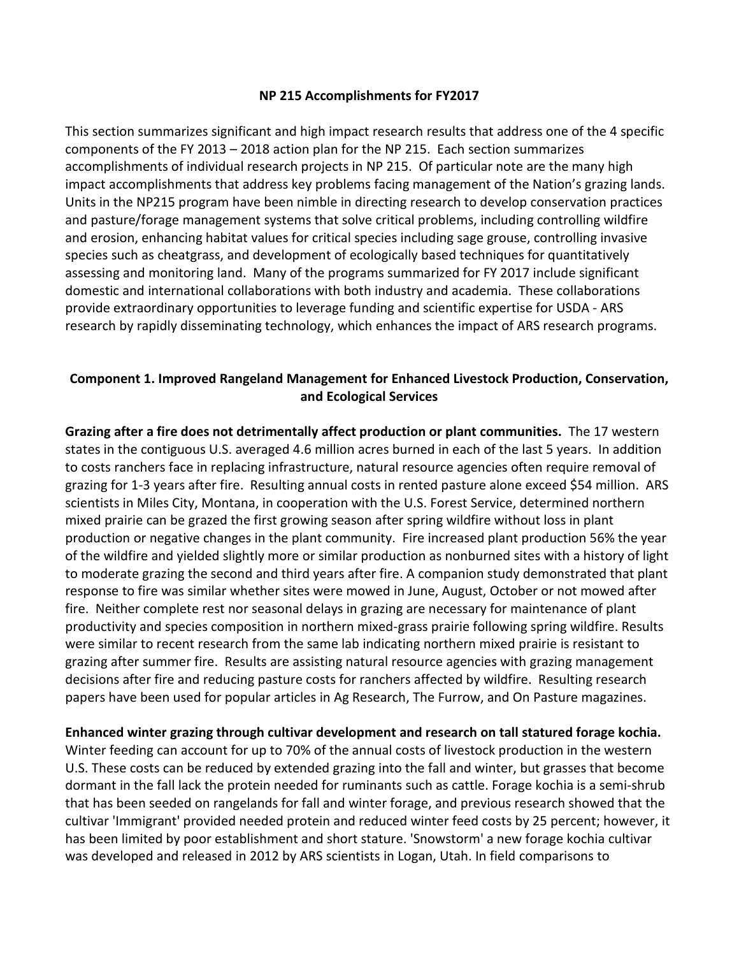#### **NP 215 Accomplishments for FY2017**

This section summarizes significant and high impact research results that address one of the 4 specific components of the FY 2013 – 2018 action plan for the NP 215. Each section summarizes accomplishments of individual research projects in NP 215. Of particular note are the many high impact accomplishments that address key problems facing management of the Nation's grazing lands. Units in the NP215 program have been nimble in directing research to develop conservation practices and pasture/forage management systems that solve critical problems, including controlling wildfire and erosion, enhancing habitat values for critical species including sage grouse, controlling invasive species such as cheatgrass, and development of ecologically based techniques for quantitatively assessing and monitoring land. Many of the programs summarized for FY 2017 include significant domestic and international collaborations with both industry and academia. These collaborations provide extraordinary opportunities to leverage funding and scientific expertise for USDA - ARS research by rapidly disseminating technology, which enhances the impact of ARS research programs.

### **Component 1. Improved Rangeland Management for Enhanced Livestock Production, Conservation, and Ecological Services**

**Grazing after a fire does not detrimentally affect production or plant communities.** The 17 western states in the contiguous U.S. averaged 4.6 million acres burned in each of the last 5 years. In addition to costs ranchers face in replacing infrastructure, natural resource agencies often require removal of grazing for 1-3 years after fire. Resulting annual costs in rented pasture alone exceed \$54 million. ARS scientists in Miles City, Montana, in cooperation with the U.S. Forest Service, determined northern mixed prairie can be grazed the first growing season after spring wildfire without loss in plant production or negative changes in the plant community. Fire increased plant production 56% the year of the wildfire and yielded slightly more or similar production as nonburned sites with a history of light to moderate grazing the second and third years after fire. A companion study demonstrated that plant response to fire was similar whether sites were mowed in June, August, October or not mowed after fire. Neither complete rest nor seasonal delays in grazing are necessary for maintenance of plant productivity and species composition in northern mixed-grass prairie following spring wildfire. Results were similar to recent research from the same lab indicating northern mixed prairie is resistant to grazing after summer fire. Results are assisting natural resource agencies with grazing management decisions after fire and reducing pasture costs for ranchers affected by wildfire. Resulting research papers have been used for popular articles in Ag Research, The Furrow, and On Pasture magazines.

**Enhanced winter grazing through cultivar development and research on tall statured forage kochia.** 

Winter feeding can account for up to 70% of the annual costs of livestock production in the western U.S. These costs can be reduced by extended grazing into the fall and winter, but grasses that become dormant in the fall lack the protein needed for ruminants such as cattle. Forage kochia is a semi-shrub that has been seeded on rangelands for fall and winter forage, and previous research showed that the cultivar 'Immigrant' provided needed protein and reduced winter feed costs by 25 percent; however, it has been limited by poor establishment and short stature. 'Snowstorm' a new forage kochia cultivar was developed and released in 2012 by ARS scientists in Logan, Utah. In field comparisons to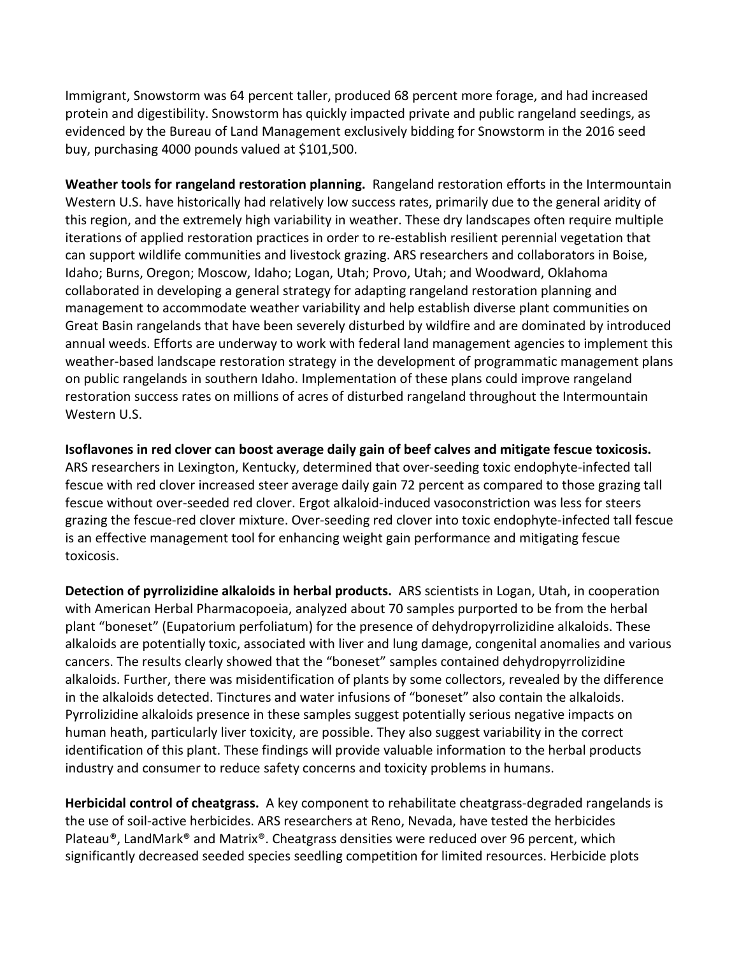Immigrant, Snowstorm was 64 percent taller, produced 68 percent more forage, and had increased protein and digestibility. Snowstorm has quickly impacted private and public rangeland seedings, as evidenced by the Bureau of Land Management exclusively bidding for Snowstorm in the 2016 seed buy, purchasing 4000 pounds valued at \$101,500.

**Weather tools for rangeland restoration planning.** Rangeland restoration efforts in the Intermountain Western U.S. have historically had relatively low success rates, primarily due to the general aridity of this region, and the extremely high variability in weather. These dry landscapes often require multiple iterations of applied restoration practices in order to re-establish resilient perennial vegetation that can support wildlife communities and livestock grazing. ARS researchers and collaborators in Boise, Idaho; Burns, Oregon; Moscow, Idaho; Logan, Utah; Provo, Utah; and Woodward, Oklahoma collaborated in developing a general strategy for adapting rangeland restoration planning and management to accommodate weather variability and help establish diverse plant communities on Great Basin rangelands that have been severely disturbed by wildfire and are dominated by introduced annual weeds. Efforts are underway to work with federal land management agencies to implement this weather-based landscape restoration strategy in the development of programmatic management plans on public rangelands in southern Idaho. Implementation of these plans could improve rangeland restoration success rates on millions of acres of disturbed rangeland throughout the Intermountain Western U.S.

**Isoflavones in red clover can boost average daily gain of beef calves and mitigate fescue toxicosis.**  ARS researchers in Lexington, Kentucky, determined that over-seeding toxic endophyte-infected tall fescue with red clover increased steer average daily gain 72 percent as compared to those grazing tall fescue without over-seeded red clover. Ergot alkaloid-induced vasoconstriction was less for steers grazing the fescue-red clover mixture. Over-seeding red clover into toxic endophyte-infected tall fescue is an effective management tool for enhancing weight gain performance and mitigating fescue toxicosis.

**Detection of pyrrolizidine alkaloids in herbal products.** ARS scientists in Logan, Utah, in cooperation with American Herbal Pharmacopoeia, analyzed about 70 samples purported to be from the herbal plant "boneset" (Eupatorium perfoliatum) for the presence of dehydropyrrolizidine alkaloids. These alkaloids are potentially toxic, associated with liver and lung damage, congenital anomalies and various cancers. The results clearly showed that the "boneset" samples contained dehydropyrrolizidine alkaloids. Further, there was misidentification of plants by some collectors, revealed by the difference in the alkaloids detected. Tinctures and water infusions of "boneset" also contain the alkaloids. Pyrrolizidine alkaloids presence in these samples suggest potentially serious negative impacts on human heath, particularly liver toxicity, are possible. They also suggest variability in the correct identification of this plant. These findings will provide valuable information to the herbal products industry and consumer to reduce safety concerns and toxicity problems in humans.

**Herbicidal control of cheatgrass.** A key component to rehabilitate cheatgrass-degraded rangelands is the use of soil-active herbicides. ARS researchers at Reno, Nevada, have tested the herbicides Plateau®, LandMark® and Matrix®. Cheatgrass densities were reduced over 96 percent, which significantly decreased seeded species seedling competition for limited resources. Herbicide plots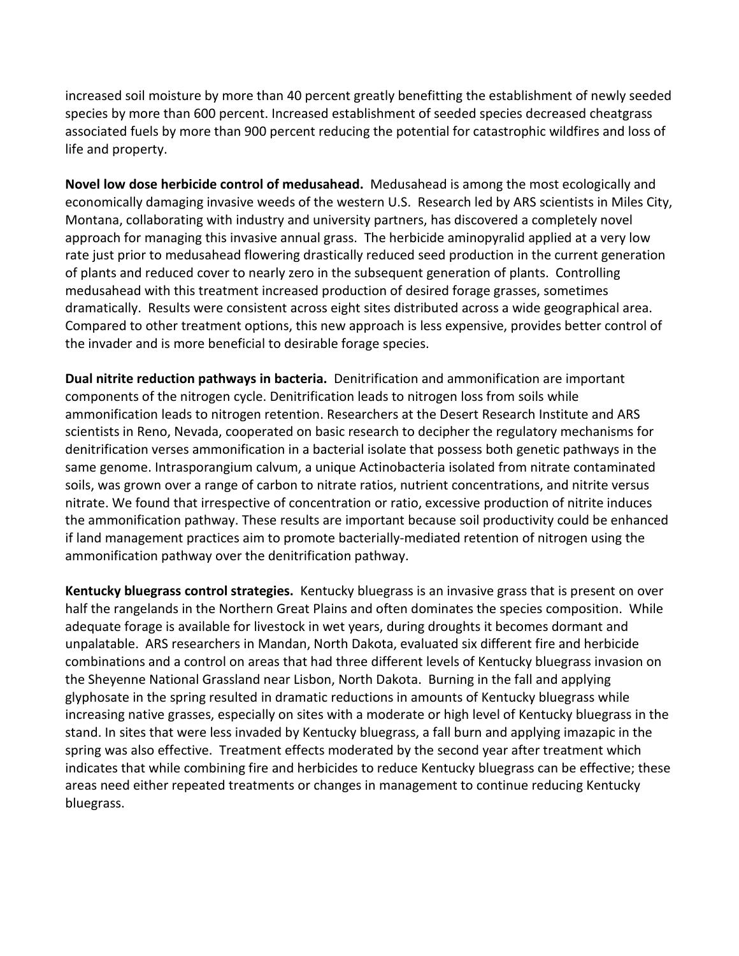increased soil moisture by more than 40 percent greatly benefitting the establishment of newly seeded species by more than 600 percent. Increased establishment of seeded species decreased cheatgrass associated fuels by more than 900 percent reducing the potential for catastrophic wildfires and loss of life and property.

**Novel low dose herbicide control of medusahead.** Medusahead is among the most ecologically and economically damaging invasive weeds of the western U.S. Research led by ARS scientists in Miles City, Montana, collaborating with industry and university partners, has discovered a completely novel approach for managing this invasive annual grass. The herbicide aminopyralid applied at a very low rate just prior to medusahead flowering drastically reduced seed production in the current generation of plants and reduced cover to nearly zero in the subsequent generation of plants. Controlling medusahead with this treatment increased production of desired forage grasses, sometimes dramatically. Results were consistent across eight sites distributed across a wide geographical area. Compared to other treatment options, this new approach is less expensive, provides better control of the invader and is more beneficial to desirable forage species.

**Dual nitrite reduction pathways in bacteria.** Denitrification and ammonification are important components of the nitrogen cycle. Denitrification leads to nitrogen loss from soils while ammonification leads to nitrogen retention. Researchers at the Desert Research Institute and ARS scientists in Reno, Nevada, cooperated on basic research to decipher the regulatory mechanisms for denitrification verses ammonification in a bacterial isolate that possess both genetic pathways in the same genome. Intrasporangium calvum, a unique Actinobacteria isolated from nitrate contaminated soils, was grown over a range of carbon to nitrate ratios, nutrient concentrations, and nitrite versus nitrate. We found that irrespective of concentration or ratio, excessive production of nitrite induces the ammonification pathway. These results are important because soil productivity could be enhanced if land management practices aim to promote bacterially-mediated retention of nitrogen using the ammonification pathway over the denitrification pathway.

**Kentucky bluegrass control strategies.** Kentucky bluegrass is an invasive grass that is present on over half the rangelands in the Northern Great Plains and often dominates the species composition. While adequate forage is available for livestock in wet years, during droughts it becomes dormant and unpalatable. ARS researchers in Mandan, North Dakota, evaluated six different fire and herbicide combinations and a control on areas that had three different levels of Kentucky bluegrass invasion on the Sheyenne National Grassland near Lisbon, North Dakota. Burning in the fall and applying glyphosate in the spring resulted in dramatic reductions in amounts of Kentucky bluegrass while increasing native grasses, especially on sites with a moderate or high level of Kentucky bluegrass in the stand. In sites that were less invaded by Kentucky bluegrass, a fall burn and applying imazapic in the spring was also effective. Treatment effects moderated by the second year after treatment which indicates that while combining fire and herbicides to reduce Kentucky bluegrass can be effective; these areas need either repeated treatments or changes in management to continue reducing Kentucky bluegrass.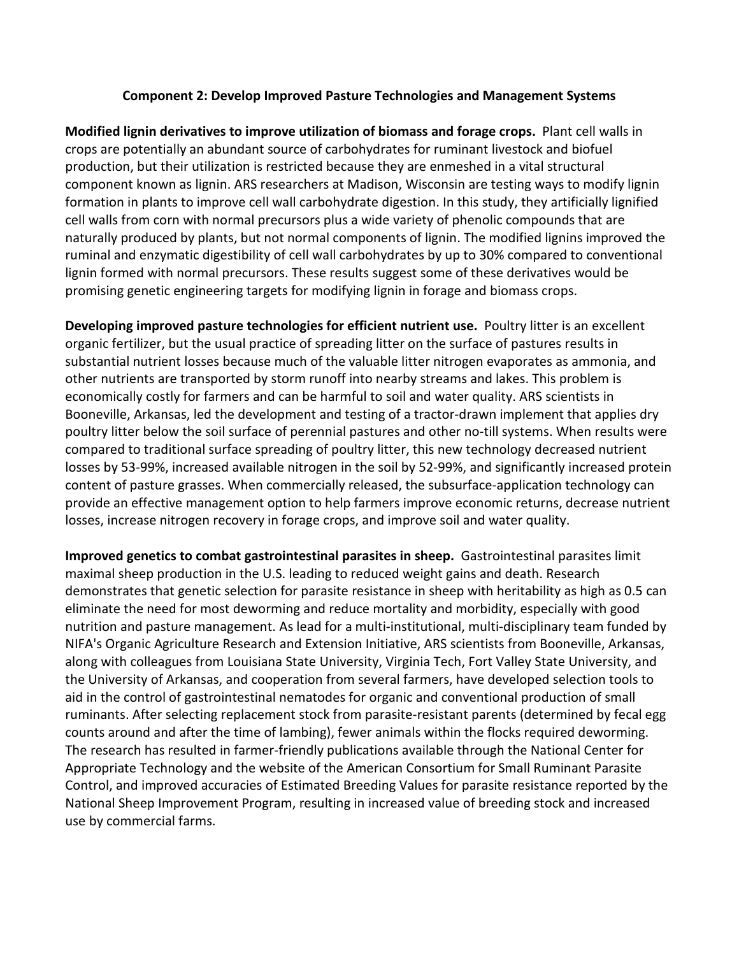#### **Component 2: Develop Improved Pasture Technologies and Management Systems**

**Modified lignin derivatives to improve utilization of biomass and forage crops.** Plant cell walls in crops are potentially an abundant source of carbohydrates for ruminant livestock and biofuel production, but their utilization is restricted because they are enmeshed in a vital structural component known as lignin. ARS researchers at Madison, Wisconsin are testing ways to modify lignin formation in plants to improve cell wall carbohydrate digestion. In this study, they artificially lignified cell walls from corn with normal precursors plus a wide variety of phenolic compounds that are naturally produced by plants, but not normal components of lignin. The modified lignins improved the ruminal and enzymatic digestibility of cell wall carbohydrates by up to 30% compared to conventional lignin formed with normal precursors. These results suggest some of these derivatives would be promising genetic engineering targets for modifying lignin in forage and biomass crops.

**Developing improved pasture technologies for efficient nutrient use.** Poultry litter is an excellent organic fertilizer, but the usual practice of spreading litter on the surface of pastures results in substantial nutrient losses because much of the valuable litter nitrogen evaporates as ammonia, and other nutrients are transported by storm runoff into nearby streams and lakes. This problem is economically costly for farmers and can be harmful to soil and water quality. ARS scientists in Booneville, Arkansas, led the development and testing of a tractor-drawn implement that applies dry poultry litter below the soil surface of perennial pastures and other no-till systems. When results were compared to traditional surface spreading of poultry litter, this new technology decreased nutrient losses by 53-99%, increased available nitrogen in the soil by 52-99%, and significantly increased protein content of pasture grasses. When commercially released, the subsurface-application technology can provide an effective management option to help farmers improve economic returns, decrease nutrient losses, increase nitrogen recovery in forage crops, and improve soil and water quality.

**Improved genetics to combat gastrointestinal parasites in sheep.** Gastrointestinal parasites limit maximal sheep production in the U.S. leading to reduced weight gains and death. Research demonstrates that genetic selection for parasite resistance in sheep with heritability as high as 0.5 can eliminate the need for most deworming and reduce mortality and morbidity, especially with good nutrition and pasture management. As lead for a multi-institutional, multi-disciplinary team funded by NIFA's Organic Agriculture Research and Extension Initiative, ARS scientists from Booneville, Arkansas, along with colleagues from Louisiana State University, Virginia Tech, Fort Valley State University, and the University of Arkansas, and cooperation from several farmers, have developed selection tools to aid in the control of gastrointestinal nematodes for organic and conventional production of small ruminants. After selecting replacement stock from parasite-resistant parents (determined by fecal egg counts around and after the time of lambing), fewer animals within the flocks required deworming. The research has resulted in farmer-friendly publications available through the National Center for Appropriate Technology and the website of the American Consortium for Small Ruminant Parasite Control, and improved accuracies of Estimated Breeding Values for parasite resistance reported by the National Sheep Improvement Program, resulting in increased value of breeding stock and increased use by commercial farms.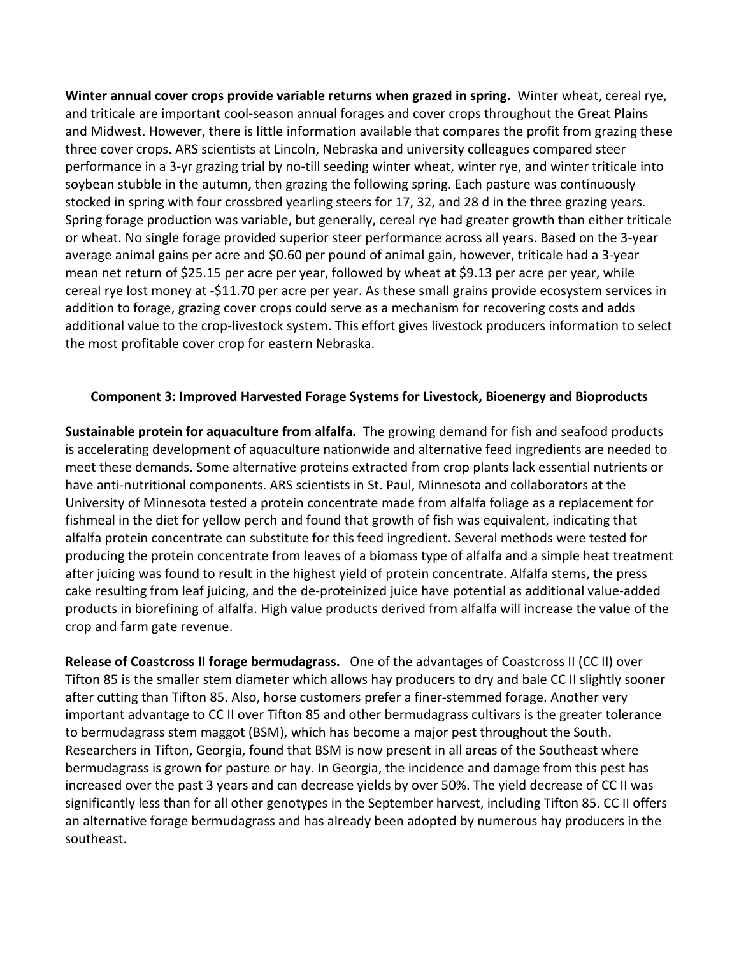**Winter annual cover crops provide variable returns when grazed in spring.** Winter wheat, cereal rye, and triticale are important cool-season annual forages and cover crops throughout the Great Plains and Midwest. However, there is little information available that compares the profit from grazing these three cover crops. ARS scientists at Lincoln, Nebraska and university colleagues compared steer performance in a 3-yr grazing trial by no-till seeding winter wheat, winter rye, and winter triticale into soybean stubble in the autumn, then grazing the following spring. Each pasture was continuously stocked in spring with four crossbred yearling steers for 17, 32, and 28 d in the three grazing years. Spring forage production was variable, but generally, cereal rye had greater growth than either triticale or wheat. No single forage provided superior steer performance across all years. Based on the 3-year average animal gains per acre and \$0.60 per pound of animal gain, however, triticale had a 3-year mean net return of \$25.15 per acre per year, followed by wheat at \$9.13 per acre per year, while cereal rye lost money at -\$11.70 per acre per year. As these small grains provide ecosystem services in addition to forage, grazing cover crops could serve as a mechanism for recovering costs and adds additional value to the crop-livestock system. This effort gives livestock producers information to select the most profitable cover crop for eastern Nebraska.

#### **Component 3: Improved Harvested Forage Systems for Livestock, Bioenergy and Bioproducts**

**Sustainable protein for aquaculture from alfalfa.** The growing demand for fish and seafood products is accelerating development of aquaculture nationwide and alternative feed ingredients are needed to meet these demands. Some alternative proteins extracted from crop plants lack essential nutrients or have anti-nutritional components. ARS scientists in St. Paul, Minnesota and collaborators at the University of Minnesota tested a protein concentrate made from alfalfa foliage as a replacement for fishmeal in the diet for yellow perch and found that growth of fish was equivalent, indicating that alfalfa protein concentrate can substitute for this feed ingredient. Several methods were tested for producing the protein concentrate from leaves of a biomass type of alfalfa and a simple heat treatment after juicing was found to result in the highest yield of protein concentrate. Alfalfa stems, the press cake resulting from leaf juicing, and the de-proteinized juice have potential as additional value-added products in biorefining of alfalfa. High value products derived from alfalfa will increase the value of the crop and farm gate revenue.

**Release of Coastcross II forage bermudagrass.** One of the advantages of Coastcross II (CC II) over Tifton 85 is the smaller stem diameter which allows hay producers to dry and bale CC II slightly sooner after cutting than Tifton 85. Also, horse customers prefer a finer-stemmed forage. Another very important advantage to CC II over Tifton 85 and other bermudagrass cultivars is the greater tolerance to bermudagrass stem maggot (BSM), which has become a major pest throughout the South. Researchers in Tifton, Georgia, found that BSM is now present in all areas of the Southeast where bermudagrass is grown for pasture or hay. In Georgia, the incidence and damage from this pest has increased over the past 3 years and can decrease yields by over 50%. The yield decrease of CC II was significantly less than for all other genotypes in the September harvest, including Tifton 85. CC II offers an alternative forage bermudagrass and has already been adopted by numerous hay producers in the southeast.